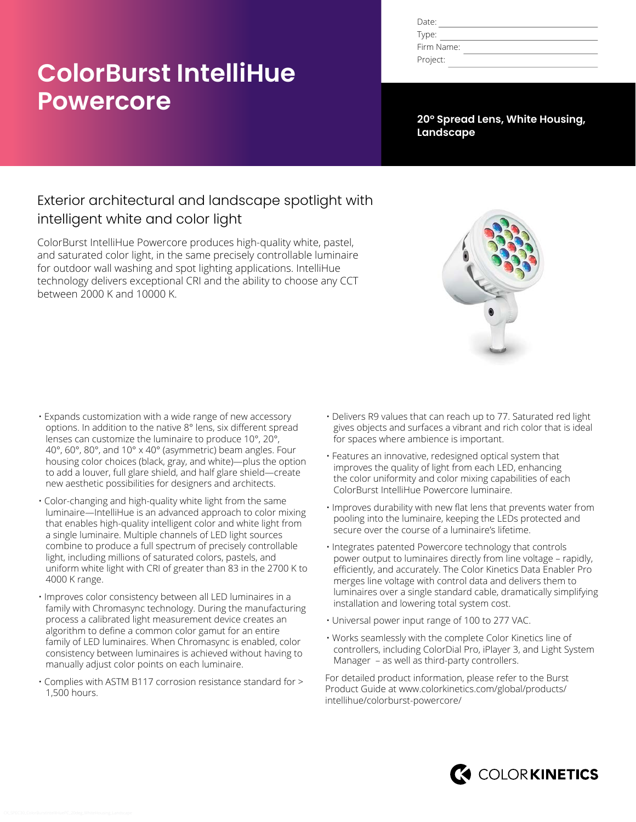# **ColorBurst IntelliHue Powercore**

| Date:      |  |
|------------|--|
| Type:      |  |
| Firm Name: |  |
| Project:   |  |

**20° Spread Lens, White Housing, Landscape**

# Exterior architectural and landscape spotlight with intelligent white and color light

ColorBurst IntelliHue Powercore produces high-quality white, pastel, and saturated color light, in the same precisely controllable luminaire for outdoor wall washing and spot lighting applications. IntelliHue technology delivers exceptional CRI and the ability to choose any CCT between 2000 K and 10000 K.



- Expands customization with a wide range of new accessory options. In addition to the native 8° lens, six different spread lenses can customize the luminaire to produce 10°, 20°, 40°, 60°, 80°, and 10° x 40° (asymmetric) beam angles. Four housing color choices (black, gray, and white)—plus the option to add a louver, full glare shield, and half glare shield—create new aesthetic possibilities for designers and architects.
- Color-changing and high-quality white light from the same luminaire—IntelliHue is an advanced approach to color mixing that enables high-quality intelligent color and white light from a single luminaire. Multiple channels of LED light sources combine to produce a full spectrum of precisely controllable light, including millions of saturated colors, pastels, and uniform white light with CRI of greater than 83 in the 2700 K to 4000 K range.
- Improves color consistency between all LED luminaires in a family with Chromasync technology. During the manufacturing process a calibrated light measurement device creates an algorithm to define a common color gamut for an entire family of LED luminaires. When Chromasync is enabled, color consistency between luminaires is achieved without having to manually adjust color points on each luminaire.
- Complies with ASTM B117 corrosion resistance standard for > 1,500 hours.
- Delivers R9 values that can reach up to 77. Saturated red light gives objects and surfaces a vibrant and rich color that is ideal for spaces where ambience is important.
- Features an innovative, redesigned optical system that improves the quality of light from each LED, enhancing the color uniformity and color mixing capabilities of each ColorBurst IntelliHue Powercore luminaire.
- Improves durability with new flat lens that prevents water from pooling into the luminaire, keeping the LEDs protected and secure over the course of a luminaire's lifetime.
- Integrates patented Powercore technology that controls power output to luminaires directly from line voltage – rapidly, efficiently, and accurately. The Color Kinetics Data Enabler Pro merges line voltage with control data and delivers them to luminaires over a single standard cable, dramatically simplifying installation and lowering total system cost.
- Universal power input range of 100 to 277 VAC.
- Works seamlessly with the complete Color Kinetics line of controllers, including ColorDial Pro, iPlayer 3, and Light System Manager – as well as third-party controllers.

For detailed product information, please refer to the Burst Product Guide at www.colorkinetics.com/global/products/ intellihue/colorburst-powercore/

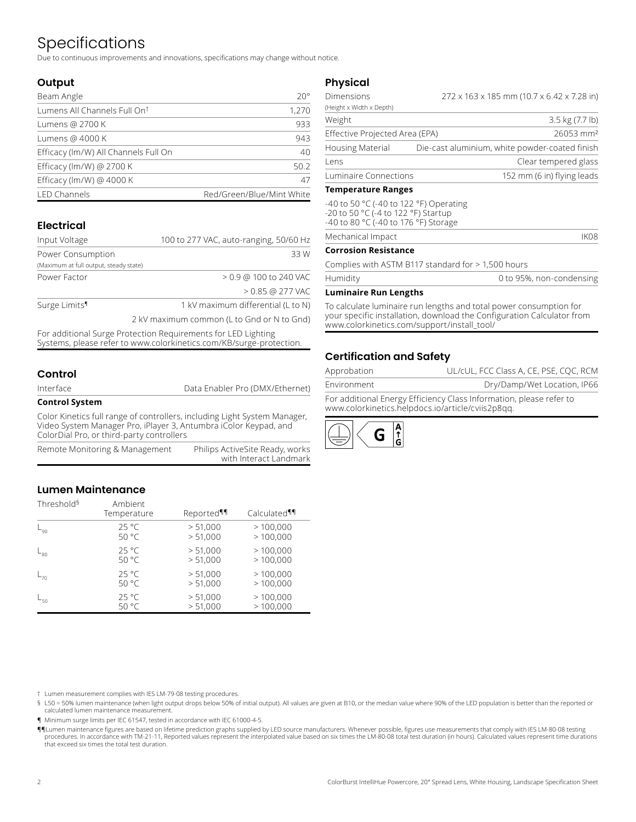# Specifications

Due to continuous improvements and innovations, specifications may change without notice.

### **Output**

| Beam Angle                               | $20^{\circ}$              |
|------------------------------------------|---------------------------|
| Lumens All Channels Full On <sup>t</sup> | 1,270                     |
| Lumens @ 2700 K                          | 933                       |
| Lumens @ 4000 K                          | 943                       |
| Efficacy (Im/W) All Channels Full On     | 40                        |
| Efficacy (lm/W) @ 2700 K                 | 50.2                      |
| Efficacy (lm/W) @ 4000 K                 | 47                        |
| <b>LED Channels</b>                      | Red/Green/Blue/Mint White |

### **Electrical**

| Input Voltage                          | 100 to 277 VAC, auto-ranging, 50/60 Hz     |
|----------------------------------------|--------------------------------------------|
| Power Consumption                      | 33 W                                       |
| (Maximum at full output, steady state) |                                            |
| Power Factor                           | $> 0.9$ @ 100 to 240 VAC                   |
|                                        | $> 0.85$ @ 277 VAC                         |
| Surge Limits <sup>1</sup>              | 1 kV maximum differential (L to N)         |
|                                        | 2 kV maximum common (L to Gnd or N to Gnd) |

For additional Surge Protection Requirements for LED Lighting Systems, please refer to www.colorkinetics.com/KB/surge-protection.

### **Control**

Data Enabler Pro (DMX/Ethernet)

#### **Control System**

Color Kinetics full range of controllers, including Light System Manager, Video System Manager Pro, iPlayer 3, Antumbra iColor Keypad, and ColorDial Pro, or third-party controllers

| Remote Monitoring & Management | Philips ActiveSite Ready, works |
|--------------------------------|---------------------------------|
|                                | with Interact Landmark          |

### **Lumen Maintenance**

| Threshold <sup>§</sup> | Ambient<br>Temperature | Reported <sup>11</sup> | Calculated <sup>¶</sup> |
|------------------------|------------------------|------------------------|-------------------------|
| $L_{90}$               | $25^{\circ}$ C         | > 51,000               | >100,000                |
|                        | 50 °C                  | > 51,000               | >100,000                |
| $L_{80}$               | $25^{\circ}$ C         | > 51,000               | >100,000                |
|                        | 50 °C                  | > 51,000               | >100,000                |
| $L_{70}$               | $25^{\circ}$ C         | > 51,000               | >100,000                |
|                        | 50 °C                  | > 51,000               | >100,000                |
| $L_{50}$               | $25^{\circ}$ C         | > 51,000               | >100,000                |
|                        | 50 °C                  | > 51,000               | >100,000                |

† Lumen measurement complies with IES LM-79-08 testing procedures.

§ L50 = 50% lumen maintenance (when light output drops below 50% of initial output). All values are given at B10, or the median value where 90% of the LED population is better than the reported or calculated lumen maintenance measurement.

¶ Minimum surge limits per IEC 61547, tested in accordance with IEC 61000-4-5.

¶¶Lumen maintenance figures are based on lifetime prediction graphs supplied by LED source manufacturers. Whenever possible, figures use measurements that comply with IES LM-80-08 testing procedures. In accordance with TM-21-11, Reported values represent the interpolated value based on six times the LM-80-08 total test duration (in hours). Calculated values represent time durations that exceed six times the total test duration.

#### **Physical**

| <b>Dimensions</b>              | 272 x 163 x 185 mm (10.7 x 6.42 x 7.28 in)     |
|--------------------------------|------------------------------------------------|
| (Height x Width x Depth)       |                                                |
| Weight                         | 3.5 kg (7.7 lb)                                |
| Effective Projected Area (EPA) | 26053 mm <sup>2</sup>                          |
| <b>Housing Material</b>        | Die-cast aluminium, white powder-coated finish |
| l ens                          | Clear tempered glass                           |
| Luminaire Connections          | 152 mm (6 in) flying leads                     |

#### **Temperature Ranges**

-40 to 50 °C (-40 to 122 °F) Operating -20 to 50 °C (-4 to 122 °F) Startup -40 to 80 °C (-40 to 176 °F) Storage

Mechanical Impact **IKO8** 

#### **Corrosion Resistance**

Complies with ASTM B117 standard for > 1,500 hours

| Humidity | 0 to 95%, non-condensing |
|----------|--------------------------|
|          |                          |

#### **Luminaire Run Lengths**

To calculate luminaire run lengths and total power consumption for your specific installation, download the Configuration Calculator from www.colorkinetics.com/support/install\_tool/

### **Certification and Safety**

| Environment | Dry/Damp/Wet Location, IP66            |  |
|-------------|----------------------------------------|--|
| Approbation | UL/cUL, FCC Class A, CE, PSE, CQC, RCM |  |

For additional Energy Efficiency Class Information, please refer to www.colorkinetics.helpdocs.io/article/cviis2p8qq.

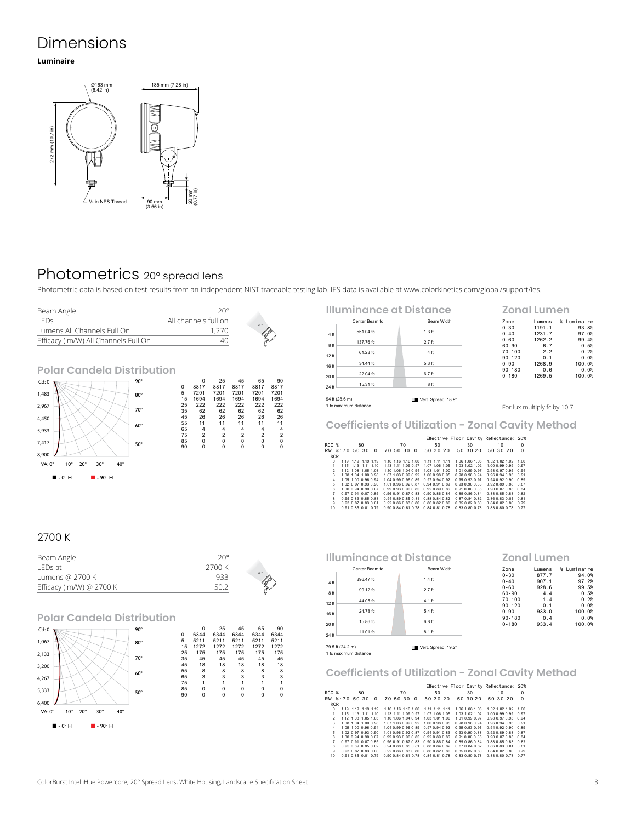# Dimensions

#### **Luminaire**



# Photometrics 20° spread lens

Photometric data is based on test results from an independent NIST traceable testing lab. IES data is available at www.colorkinetics.com/global/support/ies.



|                  | Illuminance at Distance                 |                     |  |
|------------------|-----------------------------------------|---------------------|--|
|                  | Center Beam fc.                         | <b>Beam Width</b>   |  |
| 4 ft             | 551.04 fc                               | $1.3$ ft            |  |
| 8ft              | 137.76 fc.                              | $2.7$ ft            |  |
| 12 <sub>ft</sub> | 61.23 fc                                | 4 ft                |  |
|                  | 34.44 fc                                | $5.3$ ft            |  |
| 16 ft            | 22.04 fc                                | $6.7$ ft            |  |
| 20 ft            | 15.31 fc                                | 8 ft                |  |
| 24 ft            |                                         |                     |  |
|                  | 94 ft (28.6 m)<br>1 fc maximum distance | Vert. Spread: 18.9° |  |

For lux multiply fc by 10.7

0-60 Lumens<br>
0-60 1191.1<br>
0-60 1262.2<br>
60-90 6.7<br>
50.2 90

**Zonal Lumen**

Zone Lumens % Luminaire 0-30 1191.1 93.8% 0-40 1231.7 97.0%

60-90 6.7 0.5% 70-100 2.2 0.2% 90-120 0.1 0.0% 0-90 1268.9 100.0% 90-180 0.6 0.0% 0-180 1269.5 100.0%

**Coefficients of Utilization - Zonal Cavity Method**

|                |                     |                     |                     |  |    |                     |                                    |    | Effective Floor Cavity Reflectance: 20% |    |                |                |    |                     |          |
|----------------|---------------------|---------------------|---------------------|--|----|---------------------|------------------------------------|----|-----------------------------------------|----|----------------|----------------|----|---------------------|----------|
| $RCC$ $%$ :    |                     | 80                  |                     |  | 70 |                     |                                    | 50 |                                         | 30 |                |                | 10 |                     | $\Omega$ |
|                | RW %:70 50 30 0     |                     |                     |  |    |                     |                                    |    | 70 50 30 0 50 30 20 50 30 20            |    |                | 50 30 20       |    |                     | $\Omega$ |
| RCR:           |                     |                     |                     |  |    |                     |                                    |    |                                         |    |                |                |    |                     |          |
| $\Omega$       |                     | 1.19 1.19 1.19 1.19 |                     |  |    | 1.16 1.16 1.16 1.00 | 1.11 1.11 1.11                     |    |                                         |    | 1.06 1.06 1.06 |                |    | 1.02 1.02 1.02 1.00 |          |
| 1              |                     | 1.15 1.13 1.11 1.10 |                     |  |    | 1.13 1.11 1.09 0.97 | 1.07 1.06 1.05                     |    |                                         |    | 1.03 1.02 1.02 |                |    | 1.00 0.99 0.99 0.97 |          |
| $\mathfrak{p}$ | 1.12 1.08 1.05 1.03 |                     |                     |  |    |                     | 1.10 1.06 1.04 0.94 1.03 1.01 1.00 |    |                                         |    | 1.01.0.99.0.97 |                |    | 0.98 0.97 0.95 0.94 |          |
| 3.             |                     | 1.08 1.04 1.00 0.98 |                     |  |    |                     | 1.07 1.03 0.99 0.92 1.00 0.98 0.95 |    |                                         |    | 0.98 0.96 0.94 |                |    | 0.96 0.94 0.93 0.91 |          |
| 4              |                     | 1.05 1.00 0.96 0.94 |                     |  |    | 1.04.0.99.0.96.0.89 | 0.97 0.94 0.92                     |    |                                         |    | 0.95 0.93 0.91 |                |    | 0.94 0.92 0.90 0.89 |          |
| 5.             |                     | 1.02 0.97 0.93 0.90 |                     |  |    | 1.01.0.96.0.92.0.87 | 0.94 0.91 0.89                     |    |                                         |    | 0.93 0.90 0.88 |                |    | 0.92 0.89 0.88 0.87 |          |
| 6              |                     | 1.00 0.94 0.90 0.87 |                     |  |    |                     | 0.99 0.93 0.90 0.85 0.92 0.89 0.86 |    |                                         |    | 0.91 0.88 0.86 |                |    | 0.90 0.87 0.85 0.84 |          |
| $\overline{7}$ |                     | 0.97 0.91 0.87 0.85 |                     |  |    |                     | 0.96 0.91 0.87 0.83 0.90 0.86 0.84 |    |                                         |    | 0.89 0.86 0.84 |                |    | 0.88 0.85 0.83 0.82 |          |
| 8              | 0.95 0.89 0.85 0.83 |                     |                     |  |    |                     | 0.94 0.89 0.85 0.81 0.88 0.84 0.82 |    |                                         |    | 0.87 0.84 0.82 | 0.86 0.83 0.81 |    |                     | 0.81     |
| $\mathbf{Q}$   | 0.93 0.87 0.83 0.81 |                     |                     |  |    |                     | 0.92 0.86 0.83 0.80 0.86 0.82 0.80 |    |                                         |    | 0.850.820.80   | 0.84 0.82 0.80 |    |                     | 0.79     |
| 10             |                     |                     | 0.91 0.85 0.81 0.79 |  |    |                     | 0.90 0.84 0.81 0.78 0.84 0.81 0.78 |    |                                         |    | 0.83 0.80 0.78 |                |    | 0.83 0.80 0.78 0.77 |          |

#### 2700 K

 $\blacksquare$  - 0° H  $\blacksquare$  - 90° H

| Beam Angle               | $20^{\circ}$ |     |
|--------------------------|--------------|-----|
| I FDs at                 | 2700 K       |     |
| Lumens @ 2700 K          |              | 20° |
| Efficacy (lm/W) @ 2700 K |              |     |

### **Polar Candela Distribution**

| Cd:0                                                                     | $90^\circ$ |             | 0    | 25   | 45          | 65          | 90          |
|--------------------------------------------------------------------------|------------|-------------|------|------|-------------|-------------|-------------|
|                                                                          |            | $\mathbf 0$ | 6344 | 6344 | 6344        | 6344        | 6344        |
| 1,067                                                                    | $80^\circ$ | 5           | 5211 | 5211 | 5211        | 5211        | 5211        |
|                                                                          |            | 15          | 1272 | 1272 | 1272        | 1272        | 1272        |
| 2,133                                                                    |            | 25          | 175  | 175  | 175         | 175         | 175         |
|                                                                          | $70^\circ$ | 35          | 45   | 45   | 45          | 45          | 45          |
| 3,200                                                                    |            | 45          | 18   | 18   | 18          | 18          | 18          |
|                                                                          | $60^\circ$ | 55          | 8    | 8    | 8           | 8           | 8           |
| 4,267                                                                    |            | 65          | 3    | 3    | 3           | 3           | 3           |
|                                                                          |            | 75          |      |      |             |             |             |
| 5,333                                                                    |            | 85          | 0    | 0    | 0           | 0           | 0           |
|                                                                          | 50°        | 90          | 0    | 0    | $\mathbf 0$ | $\mathbf 0$ | $\mathbf 0$ |
| 6,400                                                                    |            |             |      |      |             |             |             |
| $40^\circ$<br>$VA:0^\circ$<br>$20^{\circ}$<br>$30^\circ$<br>$10^{\circ}$ |            |             |      |      |             |             |             |
| $\blacksquare$ - 0° H<br>$\blacksquare$ - 90° H                          |            |             |      |      |             |             |             |

**Illuminance at Distance**

|                  | Center Beam fc | <b>Beam Width</b> |
|------------------|----------------|-------------------|
| 4 ft             | 396.47 fc.     | $1.4$ ft          |
| 8ft              | 99.12 fc.      | $2.7$ ft          |
| 12 <sub>ft</sub> | 44.05 fc       | $4.1$ ft          |
| 16 ft            | 24.78 fc.      | $5.4$ ft          |
| 20 ft            | 15.86 fc       | $6.8$ ft          |
| 24 ft            | 11.01 fc       | $8.1$ ft          |
|                  |                |                   |

#### Lumens % Luminaire **Zonal Lumen**

| ---        | ----- |        |
|------------|-------|--------|
| $0 - 30$   | 877.7 | 94.0%  |
| $0 - 40$   | 907.1 | 97.2%  |
| $0 - 60$   | 928.6 | 99.5%  |
| $60 - 90$  | 4.4   | 0.5%   |
| $70 - 100$ | 1.4   | 0.2%   |
| $90 - 120$ | 0.1   | 0.0%   |
| $0 - 90$   | 933.0 | 100.0% |
| $90 - 180$ | 0.4   | 0.0%   |
| $0 - 180$  | 933.4 | 100.0% |
|            |       |        |

79.5 ft (24.2 m) Vert. Spread: 19.2º 1 fc maximum distance

#### **Coefficients of Utilization - Zonal Cavity Method**

|                |                     |    |   |                     |          |                     |                     |                |          | Effective Floor Cavity Reflectance: 20% |                |  |                     |          |
|----------------|---------------------|----|---|---------------------|----------|---------------------|---------------------|----------------|----------|-----------------------------------------|----------------|--|---------------------|----------|
| $RCC$ $%$ :    |                     | 80 |   |                     |          | 70                  |                     |                | 50       |                                         | 30             |  | 10                  | $\Omega$ |
| RW %:70 50 30  |                     |    | n |                     | 70 50 30 |                     | $\Omega$            |                | 50 30 20 |                                         | 50 30 20       |  | 50 30 20            | $\Omega$ |
| RCR:           |                     |    |   |                     |          |                     |                     |                |          |                                         |                |  |                     |          |
| $\Omega$       | 1.19 1.19 1.19 1.19 |    |   |                     |          |                     | 1.16 1.16 1.16 1.00 | 1.11 1.11 1.11 |          |                                         | 1.06 1.06 1.06 |  | 1.02 1.02 1.02      | 1.00     |
|                | 1.15 1.13 1.11 1.10 |    |   |                     |          | 1.13 1.11 1.09 0.97 |                     | 1.07 1.06 1.05 |          |                                         | 1.03 1.02 1.02 |  | 1.00 0.99 0.99      | 0.97     |
| $\mathfrak{p}$ | 1.12 1.08 1.05 1.03 |    |   |                     |          |                     | 1.10 1.06 1.04 0.94 | 1.03 1.01 1.00 |          |                                         | 1.01.0.99.0.97 |  | 0.98 0.97 0.95 0.94 |          |
| 3              | 1.08 1.04 1.00 0.98 |    |   |                     |          |                     | 1.07 1.03 0.99 0.92 | 1.00 0.98 0.95 |          |                                         | 0.98 0.96 0.94 |  | 0.96 0.94 0.93      | 0.91     |
| 4              | 1.05 1.00 0.96 0.94 |    |   |                     |          |                     | 1.04.0.99.0.96.0.89 | 0.97 0.94 0.92 |          |                                         | 0.95 0.93 0.91 |  | 0.94 0.92 0.90      | 0.89     |
| 5              | 1.02 0.97 0.93 0.90 |    |   | 1.01 0.96 0.92 0.87 |          |                     |                     | 0.94 0.91 0.89 |          |                                         | 0.930.900.88   |  | 0.92 0.89 0.88 0.87 |          |
| ĥ              | 1.00 0.94 0.90 0.87 |    |   |                     |          |                     | 0.99 0.93 0.90 0.85 | 0.92 0.89 0.86 |          |                                         | 0.91 0.88 0.86 |  | 0.90 0.87 0.85 0.84 |          |
| 7              | 0.97 0.91 0.87 0.85 |    |   |                     |          |                     | 0.96 0.91 0.87 0.83 | 0.90 0.86 0.84 |          |                                         | 0.89 0.86 0.84 |  | 0.88 0.85 0.83      | 0.82     |
| 8              | 0.95 0.89 0.85 0.82 |    |   |                     |          |                     | 0.94 0.88 0.85 0.81 | 0.88 0.84 0.82 |          |                                         | 0.87 0.84 0.82 |  | 0.86 0.83 0.81      | 0.81     |
| 9              | 0.93 0.87 0.83 0.80 |    |   |                     |          |                     | 0.92 0.86 0.83 0.80 | 0.86 0.82 0.80 |          |                                         | 0.85 0.82 0.80 |  | 0.84 0.82 0.80      | 0.79     |
| 10             | 0.91 0.85 0.81 0.79 |    |   |                     |          |                     | 0.90 0.84 0.81 0.78 | 0.84 0.81 0.78 |          |                                         | 0.83 0.80 0.78 |  | 0.83 0.80 0.78      | 0.77     |

ColorBurst IntelliHue Powercore, 20° Spread Lens, White Housing, Landscape Specification Sheet 3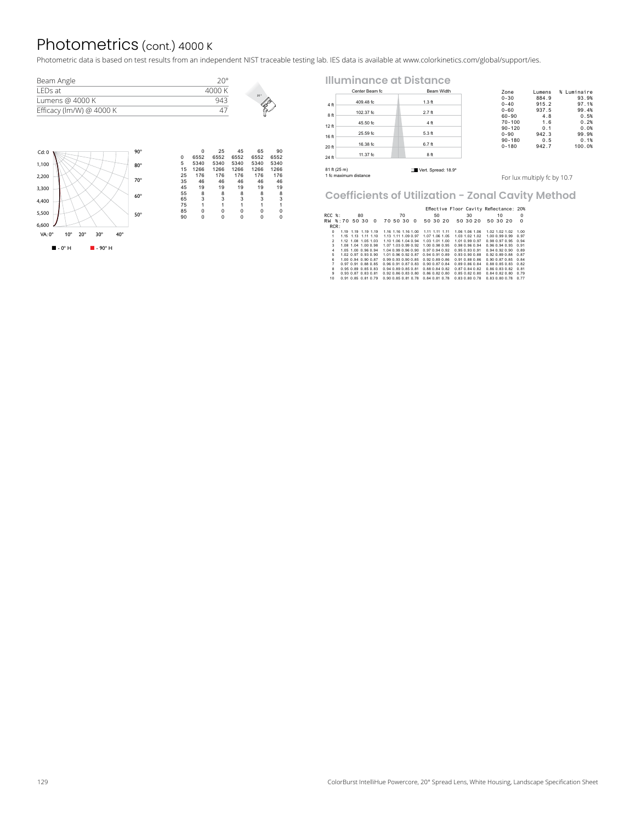# Photometrics (cont.) 4000 K

Photometric data is based on test results from an independent NIST traceable testing lab. IES data is available at www.colorkinetics.com/global/support/ies.

| Beam Angle               | ാ∩∘    |                 |
|--------------------------|--------|-----------------|
| I FDs at                 | 4000 K | 20 <sup>o</sup> |
| Lumens @ 4000 K          |        |                 |
| Efficacy (lm/W) @ 4000 K |        |                 |
|                          |        |                 |



|              | Center Beam fc        | Beam Width          | Zone                     | Lumens                      | % Luminaire    |
|--------------|-----------------------|---------------------|--------------------------|-----------------------------|----------------|
| 4 ft         | 409.48 fc             | $1.3$ ft            | $0 - 30$<br>$0 - 40$     | 884.9<br>915.2              | 93.9%<br>97.1% |
| 8ft          | 102.37 fc             | $2.7$ ft            | $0 - 60$<br>$60 - 90$    | 937.5<br>4.8                | 99.4%<br>0.5%  |
| 12 ft        | 45.50 fc              | 4 ft                | $70 - 100$<br>$90 - 120$ | 1.6<br>0.1                  | 0.2%<br>0.0%   |
| 16 ft        | 25.59 fc              | $5.3$ ft            | $0 - 90$                 | 942.3                       | 99.9%          |
| 20 ft        | 16.38 fc              | $6.7$ ft            | $90 - 180$<br>$0 - 180$  | 0.5<br>942.7                | 0.1%<br>100.0% |
| 24 ft        | 11.37 fc              | 8 ft                |                          |                             |                |
| 81 ft (25 m) |                       | Vert. Spread: 18.9° |                          |                             |                |
|              | 1 fc maximum distance |                     |                          | For lux multiply fc by 10.7 |                |

## **Coefficients of Utilization - Zonal Cavity Method**

|                |                     |    |          |                     |          |                     |          |                                    |                | Effective Floor Cavity Reflectance: 20% |          |                     |    |          |
|----------------|---------------------|----|----------|---------------------|----------|---------------------|----------|------------------------------------|----------------|-----------------------------------------|----------|---------------------|----|----------|
| $RCC$ $%$ :    |                     | 80 |          |                     |          | 70                  |          |                                    | 50             |                                         | 30       |                     | 10 | 0        |
| RW %:70 50 30  |                     |    | $\Omega$ |                     | 70 50 30 |                     | $\Omega$ |                                    | 50 30 20       |                                         | 50 30 20 | 50 30 20            |    | $\Omega$ |
| RCR:           |                     |    |          |                     |          |                     |          |                                    |                |                                         |          |                     |    |          |
| $\Omega$       | 1.19 1.19 1.19 1.19 |    |          |                     |          | 1.16 1.16 1.16 1.00 |          |                                    | 1.11 1.11 1.11 | 1.06 1.06 1.06                          |          | 1.02.1.02.1.02      |    | 1.00     |
| 1.             | 1.15 1.13 1.11 1.10 |    |          |                     |          | 1.13 1.11 1.09 0.97 |          | 1.07 1.06 1.05                     |                | 1.03 1.02 1.02                          |          | 1.00 0.99 0.99      |    | 0.97     |
| $\mathcal{P}$  | 1.12 1.08 1.05 1.03 |    |          |                     |          | 1.10 1.06 1.04 0.94 |          | 1.03 1.01 1.00                     |                | 1.01.0.99.0.97                          |          | 0.98 0.97 0.95      |    | 0.94     |
| 3.             | 1.08 1.04 1.00 0.98 |    |          |                     |          | 1.07 1.03 0.99 0.92 |          | 1.00 0.98 0.95                     |                | 0.98 0.96 0.94                          |          | 0.96 0.94 0.93      |    | 0.91     |
| $\overline{a}$ | 1.05 1.00 0.96 0.94 |    |          |                     |          | 1.04.0.99.0.96.0.90 |          | 0.97 0.94 0.92                     |                | 0.95 0.93 0.91                          |          | 0.940.920.90        |    | 0.89     |
| 5              | 1.02 0.97 0.93 0.90 |    |          |                     |          | 1.01.0.96.0.92.0.87 |          | 0.94 0.91 0.89                     |                | 0.93 0.90 0.88                          |          | 0.92 0.89 0.88      |    | 0.87     |
| 6              | 1.00 0.94 0.90 0.87 |    |          | 0.99 0.93 0.90 0.85 |          |                     |          | 0.92 0.89 0.86                     |                | 0.91 0.88 0.86                          |          | 0.90 0.87 0.85      |    | 0.84     |
| $\overline{7}$ | 0.97 0.91 0.88 0.85 |    |          | 0.96 0.91 0.87 0.83 |          |                     |          | 0.90 0.87 0.84                     |                | 0.89 0.86 0.84                          |          | 0.88 0.85 0.83      |    | 0.82     |
| 8              | 0.95 0.89 0.85 0.83 |    |          |                     |          | 0.94 0.89 0.85 0.81 |          | 0.88 0.84 0.82                     |                | 0.87 0.84 0.82                          |          | 0.86 0.83 0.82      |    | 0.81     |
| 9              | 0.93 0.87 0.83 0.81 |    |          | 0.92 0.86 0.83 0.80 |          |                     |          | 0.86 0.82 0.80                     |                | 0.85 0.82 0.80                          |          | 0.84 0.82 0.80      |    | 0.79     |
| 10             | 0.91 0.85 0.81 0.79 |    |          |                     |          |                     |          | 0.90 0.85 0.81 0.78 0.84 0.81 0.78 |                | 0.83 0.80 0.78                          |          | 0.83 0.80 0.78 0.77 |    |          |

**Illuminance at Distance**